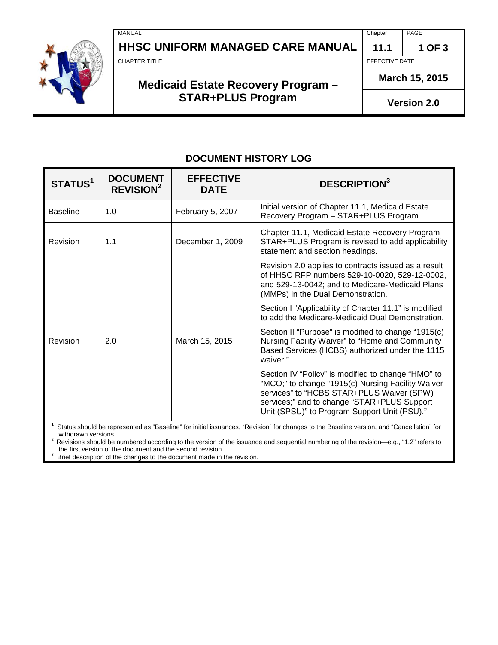|  | <b>MANUAL</b><br>HHSC UNIFORM MANAGED CARE MANUAL | Chapter<br>11.1    | PAGE<br>1 OF 3 |
|--|---------------------------------------------------|--------------------|----------------|
|  | CHAPTER TITLE                                     | EFFECTIVE DATE     |                |
|  | Medicaid Estate Recovery Program -                | March 15, 2015     |                |
|  | <b>STAR+PLUS Program</b>                          | <b>Version 2.0</b> |                |

# **DOCUMENT HISTORY LOG**

| STATUS <sup>1</sup>                                                                                                                      | <b>DOCUMENT</b><br><b>REVISION<sup>2</sup></b> | <b>EFFECTIVE</b><br><b>DATE</b> | <b>DESCRIPTION</b> <sup>3</sup>                                                                                                                                                                                                                     |  |  |  |
|------------------------------------------------------------------------------------------------------------------------------------------|------------------------------------------------|---------------------------------|-----------------------------------------------------------------------------------------------------------------------------------------------------------------------------------------------------------------------------------------------------|--|--|--|
| <b>Baseline</b>                                                                                                                          | 1.0                                            | February 5, 2007                | Initial version of Chapter 11.1, Medicaid Estate<br>Recovery Program - STAR+PLUS Program                                                                                                                                                            |  |  |  |
| Revision                                                                                                                                 | 1.1                                            | December 1, 2009                | Chapter 11.1, Medicaid Estate Recovery Program -<br>STAR+PLUS Program is revised to add applicability<br>statement and section headings.                                                                                                            |  |  |  |
|                                                                                                                                          |                                                | March 15, 2015                  | Revision 2.0 applies to contracts issued as a result<br>of HHSC RFP numbers 529-10-0020, 529-12-0002,<br>and 529-13-0042; and to Medicare-Medicaid Plans<br>(MMPs) in the Dual Demonstration.                                                       |  |  |  |
|                                                                                                                                          | 2.0                                            |                                 | Section I "Applicability of Chapter 11.1" is modified<br>to add the Medicare-Medicaid Dual Demonstration.                                                                                                                                           |  |  |  |
| Revision                                                                                                                                 |                                                |                                 | Section II "Purpose" is modified to change "1915(c)<br>Nursing Facility Waiver" to "Home and Community<br>Based Services (HCBS) authorized under the 1115<br>waiver."                                                                               |  |  |  |
|                                                                                                                                          |                                                |                                 | Section IV "Policy" is modified to change "HMO" to<br>"MCO;" to change "1915(c) Nursing Facility Waiver<br>services" to "HCBS STAR+PLUS Waiver (SPW)<br>services;" and to change "STAR+PLUS Support<br>Unit (SPSU)" to Program Support Unit (PSU)." |  |  |  |
| Status should be represented as "Baseline" for initial issuances, "Revision" for changes to the Baseline version, and "Cancellation" for |                                                |                                 |                                                                                                                                                                                                                                                     |  |  |  |

Status should be represented as "Baseline" for initial issuances, "Revision" for changes to the Baseline version, and "Cancellation" for

withdrawn versions 2 Revisions should be numbered according to the version of the issuance and sequential numbering of the revision—e.g., "1.2" refers to

the first version of the document and the second revision.<br><sup>3</sup> Brief description of the changes to the document made in the revision.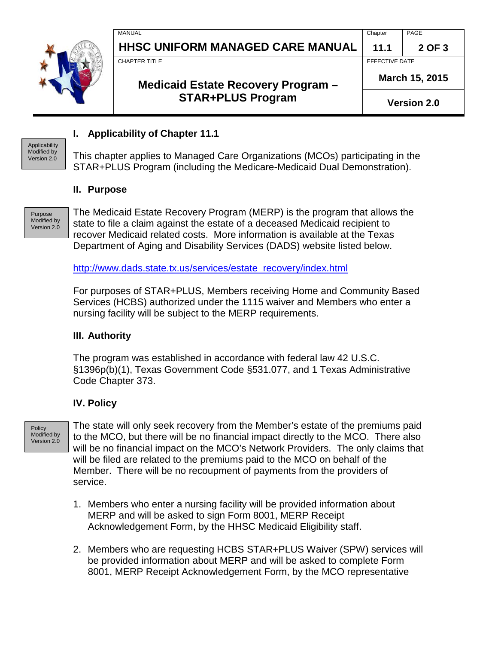|  | MANUAL                                  | Chapter            | PAGE           |
|--|-----------------------------------------|--------------------|----------------|
|  | <b>HHSC UNIFORM MANAGED CARE MANUAL</b> | 11.1               | 2 OF 3         |
|  | CHAPTER TITLE                           | EFFECTIVE DATE     |                |
|  | Medicaid Estate Recovery Program -      |                    | March 15, 2015 |
|  | <b>STAR+PLUS Program</b>                | <b>Version 2.0</b> |                |

## **I. Applicability of Chapter 11.1**

This chapter applies to Managed Care Organizations (MCOs) participating in the STAR+PLUS Program (including the Medicare-Medicaid Dual Demonstration).

#### **II. Purpose**

Purpose Modified by Version 2.0

Applicability Modified by Version 2.0

> The Medicaid Estate Recovery Program (MERP) is the program that allows the state to file a claim against the estate of a deceased Medicaid recipient to recover Medicaid related costs. More information is available at the Texas Department of Aging and Disability Services (DADS) website listed below.

[http://www.dads.state.tx.us/services/estate\\_recovery/index.html](http://www.dads.state.tx.us/services/estate_recovery/index.html)

For purposes of STAR+PLUS, Members receiving Home and Community Based Services (HCBS) authorized under the 1115 waiver and Members who enter a nursing facility will be subject to the MERP requirements.

### **III. Authority**

The program was established in accordance with federal law 42 U.S.C. §1396p(b)(1), Texas Government Code §531.077, and 1 Texas Administrative Code Chapter 373.

## **IV. Policy**

**Policy** Modified by Version 2.0

The state will only seek recovery from the Member's estate of the premiums paid to the MCO, but there will be no financial impact directly to the MCO. There also will be no financial impact on the MCO's Network Providers. The only claims that will be filed are related to the premiums paid to the MCO on behalf of the Member. There will be no recoupment of payments from the providers of service.

- 1. Members who enter a nursing facility will be provided information about MERP and will be asked to sign Form 8001, MERP Receipt Acknowledgement Form, by the HHSC Medicaid Eligibility staff.
- 2. Members who are requesting HCBS STAR+PLUS Waiver (SPW) services will be provided information about MERP and will be asked to complete Form 8001, MERP Receipt Acknowledgement Form, by the MCO representative